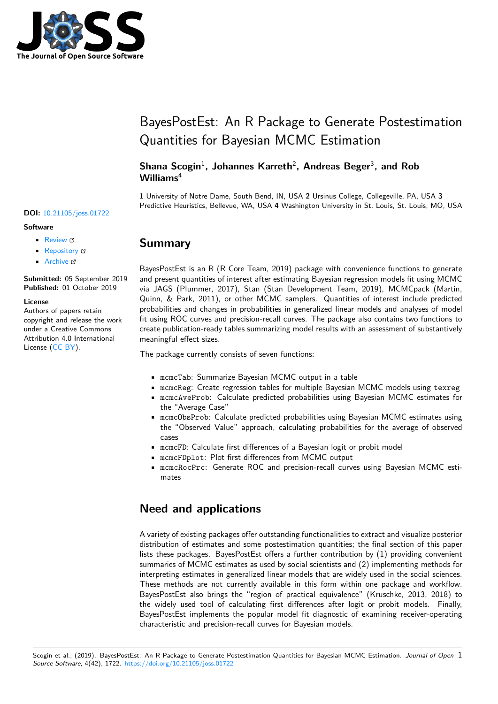

# BayesPostEst: An R Package to Generate Postestimation Quantities for Bayesian MCMC Estimation

#### Shana Scogin<sup>1</sup>, Johannes Karreth<sup>2</sup>, Andreas Beger<sup>3</sup>, and Rob **Williams**<sup>4</sup>

**1** University of Notre Dame, South Bend, IN, USA **2** Ursinus College, Collegeville, PA, USA **3** Predictive Heuristics, Bellevue, WA, USA **4** Washington University in St. Louis, St. Louis, MO, USA

## **Summary**

BayesPostEst is an R (R Core Team, 2019) package with convenience functions to generate and present quantities of interest after estimating Bayesian regression models fit using MCMC via JAGS (Plummer, 2017), Stan (Stan Development Team, 2019), MCMCpack (Martin, Quinn, & Park, 2011), or other MCMC samplers. Quantities of interest include predicted probabilities and changes in probabilities in generalized linear models and analyses of model fit using ROC curves and precision-recall curves. The package also contains two functions to create publication-ready tables summarizing model results with an assessment of substantively meaningful effect sizes.

The package currently consists of seven functions:

- mcmcTab: Summarize Bayesian MCMC output in a table
- mcmcReg: Create regression tables for multiple Bayesian MCMC models using texreg
- mcmcAveProb: Calculate predicted probabilities using Bayesian MCMC estimates for the "Average Case"
- mcmcObsProb: Calculate predicted probabilities using Bayesian MCMC estimates using the "Observed Value" approach, calculating probabilities for the average of observed cases
- mcmcFD: Calculate first differences of a Bayesian logit or probit model
- mcmcFDplot: Plot first differences from MCMC output
- mcmcRocPrc: Generate ROC and precision-recall curves using Bayesian MCMC estimates

## **Need and applications**

A variety of existing packages offer outstanding functionalities to extract and visualize posterior distribution of estimates and some postestimation quantities; the final section of this paper lists these packages. BayesPostEst offers a further contribution by (1) providing convenient summaries of MCMC estimates as used by social scientists and (2) implementing methods for interpreting estimates in generalized linear models that are widely used in the social sciences. These methods are not currently available in this form within one package and workflow. BayesPostEst also brings the "region of practical equivalence" (Kruschke, 2013, 2018) to the widely used tool of calculating first differences after logit or probit models. Finally, BayesPostEst implements the popular model fit diagnostic of examining receiver-operating characteristic and precision-recall curves for Bayesian models.

#### **DOI:** 10.21105/joss.01722

#### **Software**

- Review &
- [Repository](https://doi.org/10.21105/joss.01722) &
- Archive

**Subm[itted:](https://github.com/openjournals/joss-reviews/issues/1722)** 05 September 2019 **Published:** [01 Oc](https://github.com/ShanaScogin/BayesPostEst)tober 2019

#### **Licen[se](https://doi.org/10.5281/zenodo.3464224)**

Authors of papers retain copyright and release the work under a Creative Commons Attribution 4.0 International License (CC-BY).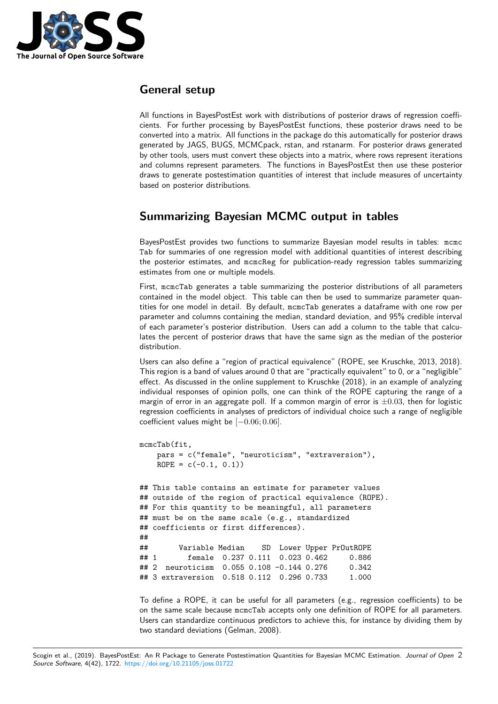

## **General setup**

All functions in BayesPostEst work with distributions of posterior draws of regression coefficients. For further processing by BayesPostEst functions, these posterior draws need to be converted into a matrix. All functions in the package do this automatically for posterior draws generated by JAGS, BUGS, MCMCpack, rstan, and rstanarm. For posterior draws generated by other tools, users must convert these objects into a matrix, where rows represent iterations and columns represent parameters. The functions in BayesPostEst then use these posterior draws to generate postestimation quantities of interest that include measures of uncertainty based on posterior distributions.

# **Summarizing Bayesian MCMC output in tables**

BayesPostEst provides two functions to summarize Bayesian model results in tables: mcmc Tab for summaries of one regression model with additional quantities of interest describing the posterior estimates, and mcmcReg for publication-ready regression tables summarizing estimates from one or multiple models.

First, mcmcTab generates a table summarizing the posterior distributions of all parameters contained in the model object. This table can then be used to summarize parameter quantities for one model in detail. By default, mcmcTab generates a dataframe with one row per parameter and columns containing the median, standard deviation, and 95% credible interval of each parameter's posterior distribution. Users can add a column to the table that calculates the percent of posterior draws that have the same sign as the median of the posterior distribution.

Users can also define a "region of practical equivalence" (ROPE, see Kruschke, 2013, 2018). This region is a band of values around 0 that are "practically equivalent" to 0, or a "negligible" effect. As discussed in the online supplement to Kruschke (2018), in an example of analyzing individual responses of opinion polls, one can think of the ROPE capturing the range of a margin of error in an aggregate poll. If a common margin of error is *±*0*.*03, then for logistic regression coefficients in analyses of predictors of individual choice such a range of negligible coefficient values might be [*−*0*.*06; 0*.*06].

```
mcmcTab(fit,
   pars = c("female", "neuroticism", "extraversion"),
   ROPE = c(-0.1, 0.1)## This table contains an estimate for parameter values
## outside of the region of practical equivalence (ROPE).
## For this quantity to be meaningful, all parameters
## must be on the same scale (e.g., standardized
## coefficients or first differences).
##
## Variable Median SD Lower Upper PrOutROPE
## 1 female 0.237 0.111 0.023 0.462 0.886
## 2 neuroticism 0.055 0.108 -0.144 0.276 0.342
## 3 extraversion 0.518 0.112 0.296 0.733 1.000
```
To define a ROPE, it can be useful for all parameters (e.g., regression coefficients) to be on the same scale because mcmcTab accepts only one definition of ROPE for all parameters. Users can standardize continuous predictors to achieve this, for instance by dividing them by two standard deviations (Gelman, 2008).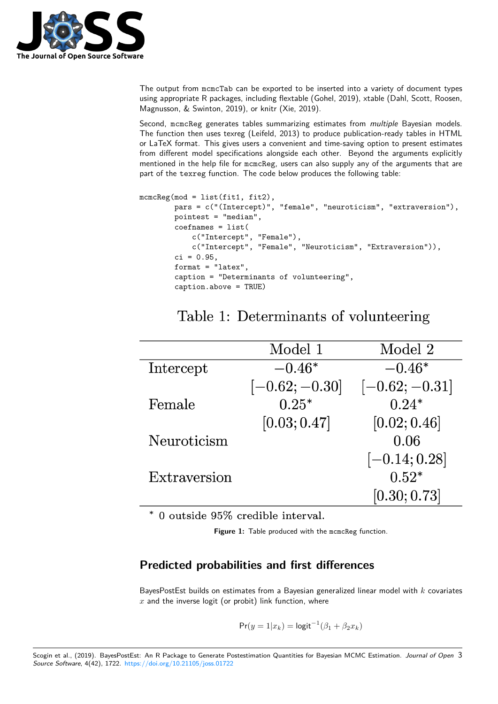

The output from mcmcTab can be exported to be inserted into a variety of document types using appropriate R packages, including flextable (Gohel, 2019), xtable (Dahl, Scott, Roosen, Magnusson, & Swinton, 2019), or knitr (Xie, 2019).

Second, mcmcReg generates tables summarizing estimates from *multiple* Bayesian models. The function then uses texreg (Leifeld, 2013) to produce publication-ready tables in HTML or LaTeX format. This gives users a convenient and time-saving option to present estimates from different model specifications alongside each other. Beyond the arguments explicitly mentioned in the help file for mcmcReg, users can also supply any of the arguments that are part of the texreg function. The code below produces the following table:

```
mcmcReg(mod = list(fit1, fit2),
        pars = c("(Intercept)", "female", "neuroticism", "extraversion"),
        pointest = "median",
        coefnames = list(c("Intercept", "Female"),
            c("Intercept", "Female", "Neuroticism", "Extraversion")),
        ci = 0.95,format = "latex",
        caption = "Determinants of volunteering",
        caption.above = TRUE)
```
# Table 1: Determinants of volunteering

|              | Model 1          | Model 2          |
|--------------|------------------|------------------|
| Intercept    | $-0.46*$         | $-0.46*$         |
|              | $[-0.62; -0.30]$ | $[-0.62; -0.31]$ |
| Female       | $0.25*$          | $0.24*$          |
|              | [0.03; 0.47]     | [0.02; 0.46]     |
| Neuroticism  |                  | 0.06             |
|              |                  | $[-0.14; 0.28]$  |
| Extraversion |                  | $0.52*$          |
|              |                  | [0.30; 0.73]     |

\* 0 outside 95% credible interval.

**Figure 1:** Table produced with the mcmcReg function.

# **Predicted probabilities and first differences**

BayesPostEst builds on estimates from a Bayesian generalized linear model with *k* covariates *x* and the inverse logit (or probit) link function, where

$$
Pr(y = 1|x_k) = \text{logit}^{-1}(\beta_1 + \beta_2 x_k)
$$

Scogin et al., (2019). BayesPostEst: An R Package to Generate Postestimation Quantities for Bayesian MCMC Estimation. *Journal of Open* 3*Source Software*, 4(42), 1722. https://doi.org/10.21105/joss.01722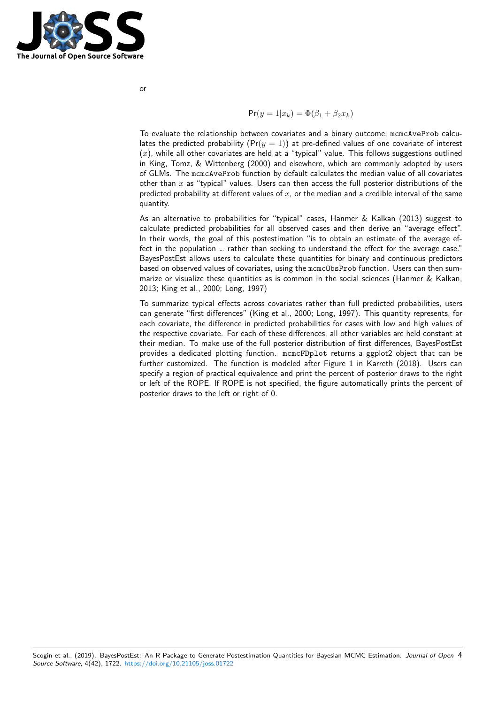

$$
\Pr(y=1|x_k)=\Phi(\beta_1+\beta_2 x_k)
$$

To evaluate the relationship between covariates and a binary outcome, mcmcAveProb calculates the predicted probability  $(Pr(y = 1))$  at pre-defined values of one covariate of interest (*x*), while all other covariates are held at a "typical" value. This follows suggestions outlined in King, Tomz, & Wittenberg (2000) and elsewhere, which are commonly adopted by users of GLMs. The mcmcAveProb function by default calculates the median value of all covariates other than *x* as "typical" values. Users can then access the full posterior distributions of the predicted probability at different values of *x*, or the median and a credible interval of the same quantity.

As an alternative to probabilities for "typical" cases, Hanmer & Kalkan (2013) suggest to calculate predicted probabilities for all observed cases and then derive an "average effect". In their words, the goal of this postestimation "is to obtain an estimate of the average effect in the population … rather than seeking to understand the effect for the average case." BayesPostEst allows users to calculate these quantities for binary and continuous predictors based on observed values of covariates, using the mcmcObsProb function. Users can then summarize or visualize these quantities as is common in the social sciences (Hanmer & Kalkan, 2013; King et al., 2000; Long, 1997)

To summarize typical effects across covariates rather than full predicted probabilities, users can generate "first differences" (King et al., 2000; Long, 1997). This quantity represents, for each covariate, the difference in predicted probabilities for cases with low and high values of the respective covariate. For each of these differences, all other variables are held constant at their median. To make use of the full posterior distribution of first differences, BayesPostEst provides a dedicated plotting function. mcmcFDplot returns a ggplot2 object that can be further customized. The function is modeled after Figure 1 in Karreth (2018). Users can specify a region of practical equivalence and print the percent of posterior draws to the right or left of the ROPE. If ROPE is not specified, the figure automatically prints the percent of posterior draws to the left or right of 0.

Scogin et al., (2019). BayesPostEst: An R Package to Generate Postestimation Quantities for Bayesian MCMC Estimation. *Journal of Open* 4*Source Software*, 4(42), 1722. https://doi.org/10.21105/joss.01722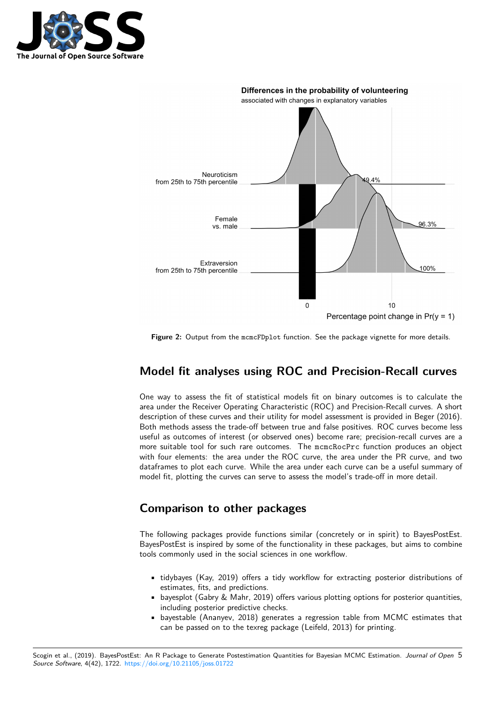



**Figure 2:** Output from the mcmcFDplot function. See the package vignette for more details.

## **Model fit analyses using ROC and Precision-Recall curves**

One way to assess the fit of statistical models fit on binary outcomes is to calculate the area under the Receiver Operating Characteristic (ROC) and Precision-Recall curves. A short description of these curves and their utility for model assessment is provided in Beger (2016). Both methods assess the trade-off between true and false positives. ROC curves become less useful as outcomes of interest (or observed ones) become rare; precision-recall curves are a more suitable tool for such rare outcomes. The mcmcRocPrc function produces an object with four elements: the area under the ROC curve, the area under the PR curve, and two dataframes to plot each curve. While the area under each curve can be a useful summary of model fit, plotting the curves can serve to assess the model's trade-off in more detail.

# **Comparison to other packages**

The following packages provide functions similar (concretely or in spirit) to BayesPostEst. BayesPostEst is inspired by some of the functionality in these packages, but aims to combine tools commonly used in the social sciences in one workflow.

- tidybayes (Kay, 2019) offers a tidy workflow for extracting posterior distributions of estimates, fits, and predictions.
- bayesplot (Gabry & Mahr, 2019) offers various plotting options for posterior quantities, including posterior predictive checks.
- bayestable (Ananyev, 2018) generates a regression table from MCMC estimates that can be passed on to the texreg package (Leifeld, 2013) for printing.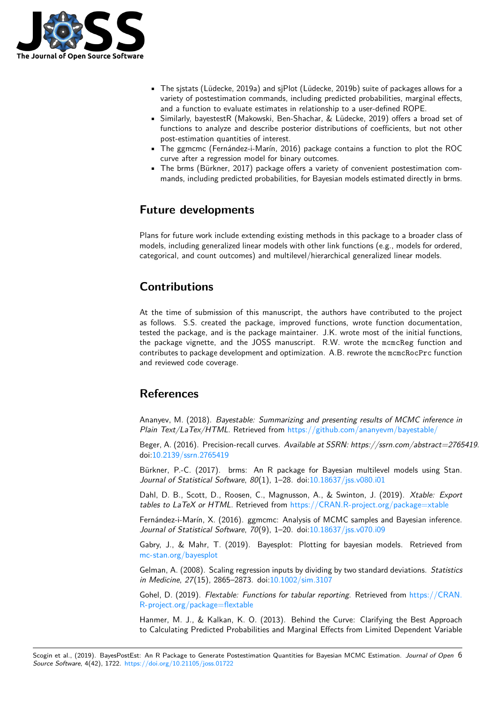

- The sjstats (Lüdecke, 2019a) and sjPlot (Lüdecke, 2019b) suite of packages allows for a variety of postestimation commands, including predicted probabilities, marginal effects, and a function to evaluate estimates in relationship to a user-defined ROPE.
- Similarly, bayestestR (Makowski, Ben-Shachar, & Lüdecke, 2019) offers a broad set of functions to analyze and describe posterior distributions of coefficients, but not other post-estimation quantities of interest.
- The ggmcmc (Fernández-i-Marín, 2016) package contains a function to plot the ROC curve after a regression model for binary outcomes.
- The brms (Bürkner, 2017) package offers a variety of convenient postestimation commands, including predicted probabilities, for Bayesian models estimated directly in brms.

# **Future developments**

Plans for future work include extending existing methods in this package to a broader class of models, including generalized linear models with other link functions (e.g., models for ordered, categorical, and count outcomes) and multilevel/hierarchical generalized linear models.

# **Contributions**

At the time of submission of this manuscript, the authors have contributed to the project as follows. S.S. created the package, improved functions, wrote function documentation, tested the package, and is the package maintainer. J.K. wrote most of the initial functions, the package vignette, and the JOSS manuscript. R.W. wrote the mcmcReg function and contributes to package development and optimization. A.B. rewrote the mcmcRocPrc function and reviewed code coverage.

## **References**

Ananyev, M. (2018). *Bayestable: Summarizing and presenting results of MCMC inference in Plain Text/LaTex/HTML*. Retrieved from https://github.com/ananyevm/bayestable/

Beger, A. (2016). Precision-recall curves. *Available at SSRN: https://ssrn.com/abstract=2765419*. doi:10.2139/ssrn.2765419

Bürkner, P.-C. (2017). brms: An R pa[ckage for Bayesian multilevel models using](https://github.com/ananyevm/bayestable/) Stan. *Journal of Statistical Software*, *80*(1), 1–28. doi:10.18637/jss.v080.i01

Da[hl, D. B., Scott, D., R](https://doi.org/10.2139/ssrn.2765419)oosen, C., Magnusson, A., & Swinton, J. (2019). *Xtable: Export tables to LaTeX or HTML*. Retrieved from https://CRAN.R-project.org/package=xtable

Fernández-i-Marín, X. (2016). ggmcmc: Analysi[s of MCMC samples an](https://doi.org/10.18637/jss.v080.i01)d Bayesian inference. *Journal of Statistical Software*, *70*(9), 1–20. doi:10.18637/jss.v070.i09

Gabry, J., & Mahr, T. (2019). Bayesplo[t: Plotting for bayesian models. Retrieved fr](https://CRAN.R-project.org/package=xtable)om mc-stan.org/bayesplot

Gelman, A. (2008). Scaling regression inputs by [dividing by two standard](https://doi.org/10.18637/jss.v070.i09) deviations. *Statistics in Medicine*, *27*(15), 2865–2873. doi:10.1002/sim.3107

[Gohel, D. \(2019\).](mc-stan.org/bayesplot) *Flextable: Functions for tabular reporting*. Retrieved from https://CRAN. R-project.org/package=flextable

Hanmer, M. J., & Kalkan, K. O. (2[013\). Behind the](https://doi.org/10.1002/sim.3107) Curve: Clarifying the Best Approach to Calculating Predicted Probabilities and Marginal Effects from Limited Dep[endent Variable](https://CRAN.R-project.org/package=flextable)